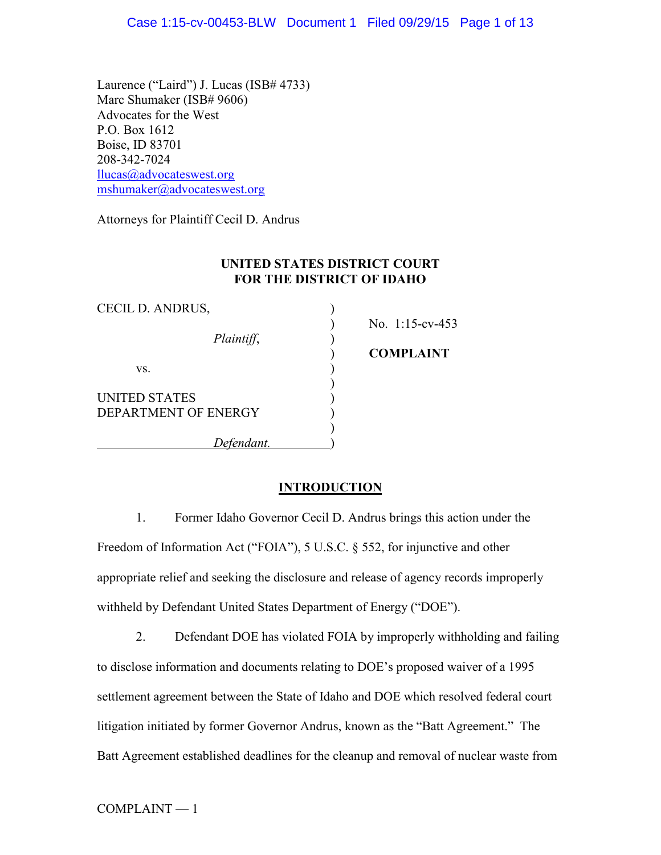Laurence ("Laird") J. Lucas (ISB# 4733) Marc Shumaker (ISB# 9606) Advocates for the West P.O. Box 1612 Boise, ID 83701 208-342-7024 [llucas@advocateswest.org](mailto:llucas@advocateswest.org) [mshumaker@advocateswest.org](mailto:mshumaker@advocateswest.org)

Attorneys for Plaintiff Cecil D. Andrus

# **UNITED STATES DISTRICT COURT FOR THE DISTRICT OF IDAHO**

| CECIL D. ANDRUS,     |                    |
|----------------------|--------------------|
|                      | No. $1:15$ -cv-453 |
| Plaintiff,           |                    |
|                      | <b>COMPLAINT</b>   |
| VS.                  |                    |
|                      |                    |
| <b>UNITED STATES</b> |                    |
| DEPARTMENT OF ENERGY |                    |
|                      |                    |
| Defendant.           |                    |

# **INTRODUCTION**

1. Former Idaho Governor Cecil D. Andrus brings this action under the Freedom of Information Act ("FOIA"), 5 U.S.C. § 552, for injunctive and other appropriate relief and seeking the disclosure and release of agency records improperly withheld by Defendant United States Department of Energy ("DOE").

2. Defendant DOE has violated FOIA by improperly withholding and failing to disclose information and documents relating to DOE's proposed waiver of a 1995 settlement agreement between the State of Idaho and DOE which resolved federal court litigation initiated by former Governor Andrus, known as the "Batt Agreement." The Batt Agreement established deadlines for the cleanup and removal of nuclear waste from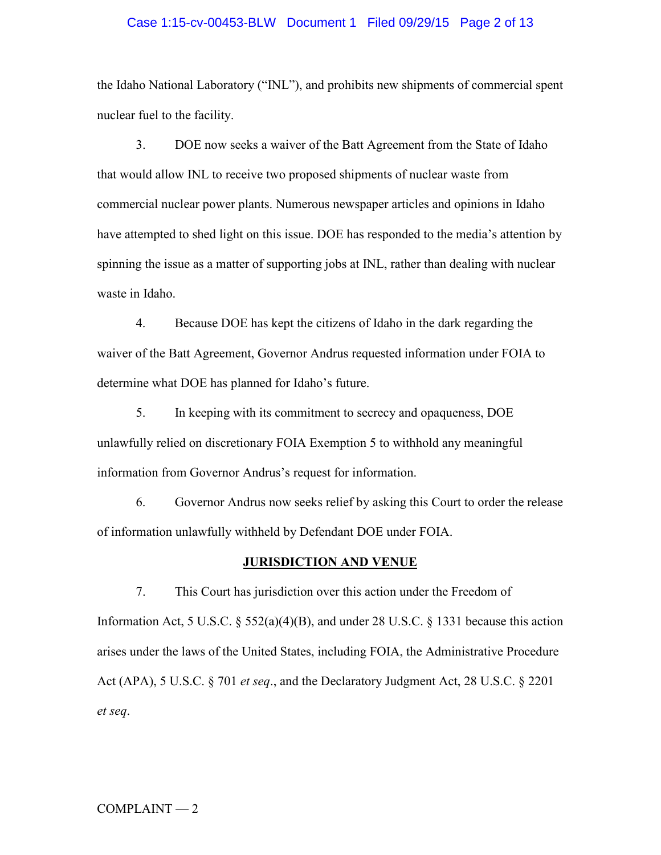## Case 1:15-cv-00453-BLW Document 1 Filed 09/29/15 Page 2 of 13

the Idaho National Laboratory ("INL"), and prohibits new shipments of commercial spent nuclear fuel to the facility.

3. DOE now seeks a waiver of the Batt Agreement from the State of Idaho that would allow INL to receive two proposed shipments of nuclear waste from commercial nuclear power plants. Numerous newspaper articles and opinions in Idaho have attempted to shed light on this issue. DOE has responded to the media's attention by spinning the issue as a matter of supporting jobs at INL, rather than dealing with nuclear waste in Idaho.

4. Because DOE has kept the citizens of Idaho in the dark regarding the waiver of the Batt Agreement, Governor Andrus requested information under FOIA to determine what DOE has planned for Idaho's future.

5. In keeping with its commitment to secrecy and opaqueness, DOE unlawfully relied on discretionary FOIA Exemption 5 to withhold any meaningful information from Governor Andrus's request for information.

6. Governor Andrus now seeks relief by asking this Court to order the release of information unlawfully withheld by Defendant DOE under FOIA.

#### **JURISDICTION AND VENUE**

7. This Court has jurisdiction over this action under the Freedom of Information Act, 5 U.S.C. § 552(a)(4)(B), and under 28 U.S.C. § 1331 because this action arises under the laws of the United States, including FOIA, the Administrative Procedure Act (APA), 5 U.S.C. § 701 *et seq*., and the Declaratory Judgment Act, 28 U.S.C. § 2201 *et seq*.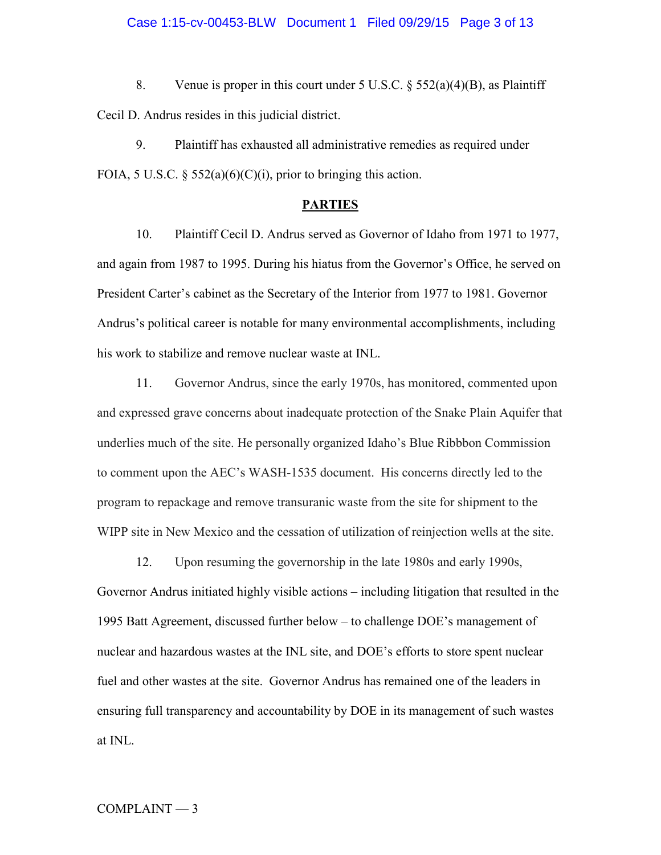## Case 1:15-cv-00453-BLW Document 1 Filed 09/29/15 Page 3 of 13

8. Venue is proper in this court under 5 U.S.C.  $\frac{6}{5}$  552(a)(4)(B), as Plaintiff Cecil D. Andrus resides in this judicial district.

9. Plaintiff has exhausted all administrative remedies as required under FOIA, 5 U.S.C.  $\S$  552(a)(6)(C)(i), prior to bringing this action.

### **PARTIES**

10. Plaintiff Cecil D. Andrus served as Governor of Idaho from 1971 to 1977, and again from 1987 to 1995. During his hiatus from the Governor's Office, he served on President Carter's cabinet as the Secretary of the Interior from 1977 to 1981. Governor Andrus's political career is notable for many environmental accomplishments, including his work to stabilize and remove nuclear waste at INL.

11. Governor Andrus, since the early 1970s, has monitored, commented upon and expressed grave concerns about inadequate protection of the Snake Plain Aquifer that underlies much of the site. He personally organized Idaho's Blue Ribbbon Commission to comment upon the AEC's WASH-1535 document. His concerns directly led to the program to repackage and remove transuranic waste from the site for shipment to the WIPP site in New Mexico and the cessation of utilization of reinjection wells at the site.

12. Upon resuming the governorship in the late 1980s and early 1990s, Governor Andrus initiated highly visible actions – including litigation that resulted in the 1995 Batt Agreement, discussed further below – to challenge DOE's management of nuclear and hazardous wastes at the INL site, and DOE's efforts to store spent nuclear fuel and other wastes at the site. Governor Andrus has remained one of the leaders in ensuring full transparency and accountability by DOE in its management of such wastes at INL.

## COMPLAINT — 3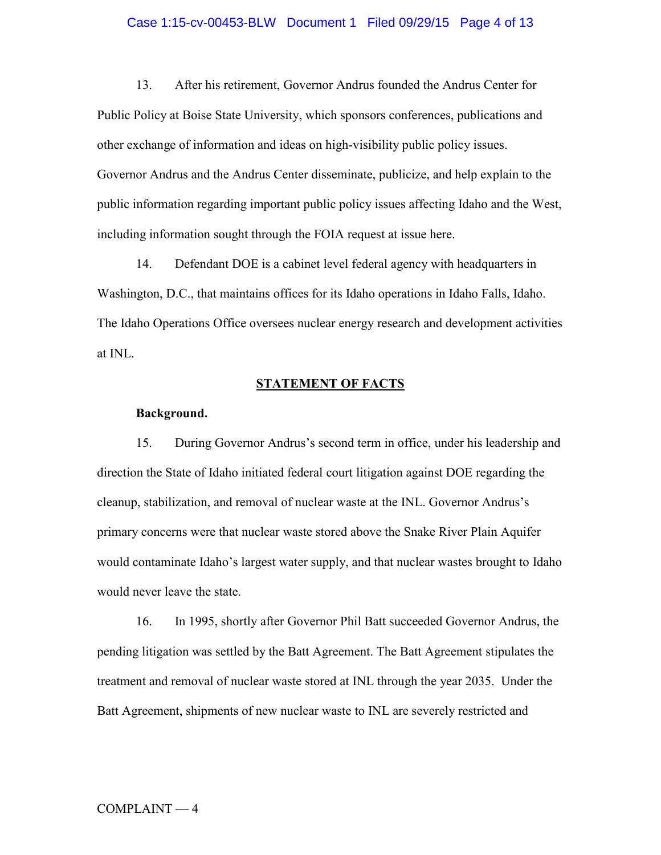## Case 1:15-cv-00453-BLW Document 1 Filed 09/29/15 Page 4 of 13

13. After his retirement, Governor Andrus founded the Andrus Center for Public Policy at Boise State University, which sponsors conferences, publications and other exchange of information and ideas on high-visibility public policy issues. Governor Andrus and the Andrus Center disseminate, publicize, and help explain to the public information regarding important public policy issues affecting Idaho and the West, including information sought through the FOIA request at issue here.

14. Defendant DOE is a cabinet level federal agency with headquarters in Washington, D.C., that maintains offices for its Idaho operations in Idaho Falls, Idaho. The Idaho Operations Office oversees nuclear energy research and development activities at INL.

#### **STATEMENT OF FACTS**

#### **Background.**

15. During Governor Andrus's second term in office, under his leadership and direction the State of Idaho initiated federal court litigation against DOE regarding the cleanup, stabilization, and removal of nuclear waste at the INL. Governor Andrus's primary concerns were that nuclear waste stored above the Snake River Plain Aquifer would contaminate Idaho's largest water supply, and that nuclear wastes brought to Idaho would never leave the state.

16. In 1995, shortly after Governor Phil Batt succeeded Governor Andrus, the pending litigation was settled by the Batt Agreement. The Batt Agreement stipulates the treatment and removal of nuclear waste stored at INL through the year 2035. Under the Batt Agreement, shipments of new nuclear waste to INL are severely restricted and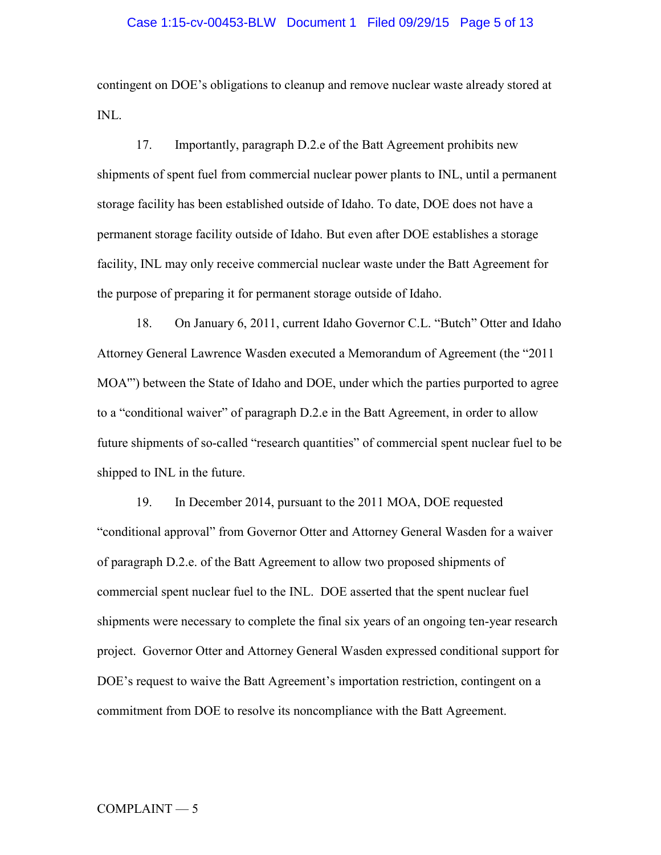## Case 1:15-cv-00453-BLW Document 1 Filed 09/29/15 Page 5 of 13

contingent on DOE's obligations to cleanup and remove nuclear waste already stored at INL.

17. Importantly, paragraph D.2.e of the Batt Agreement prohibits new shipments of spent fuel from commercial nuclear power plants to INL, until a permanent storage facility has been established outside of Idaho. To date, DOE does not have a permanent storage facility outside of Idaho. But even after DOE establishes a storage facility, INL may only receive commercial nuclear waste under the Batt Agreement for the purpose of preparing it for permanent storage outside of Idaho.

18. On January 6, 2011, current Idaho Governor C.L. "Butch" Otter and Idaho Attorney General Lawrence Wasden executed a Memorandum of Agreement (the "2011 MOA'") between the State of Idaho and DOE, under which the parties purported to agree to a "conditional waiver" of paragraph D.2.e in the Batt Agreement, in order to allow future shipments of so-called "research quantities" of commercial spent nuclear fuel to be shipped to INL in the future.

19. In December 2014, pursuant to the 2011 MOA, DOE requested "conditional approval" from Governor Otter and Attorney General Wasden for a waiver of paragraph D.2.e. of the Batt Agreement to allow two proposed shipments of commercial spent nuclear fuel to the INL. DOE asserted that the spent nuclear fuel shipments were necessary to complete the final six years of an ongoing ten-year research project. Governor Otter and Attorney General Wasden expressed conditional support for DOE's request to waive the Batt Agreement's importation restriction, contingent on a commitment from DOE to resolve its noncompliance with the Batt Agreement.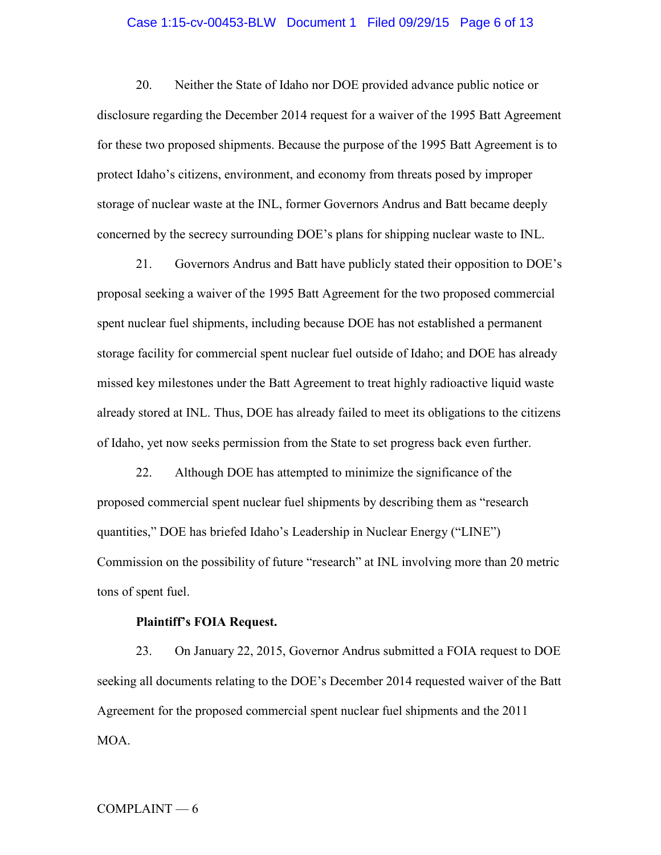## Case 1:15-cv-00453-BLW Document 1 Filed 09/29/15 Page 6 of 13

20. Neither the State of Idaho nor DOE provided advance public notice or disclosure regarding the December 2014 request for a waiver of the 1995 Batt Agreement for these two proposed shipments. Because the purpose of the 1995 Batt Agreement is to protect Idaho's citizens, environment, and economy from threats posed by improper storage of nuclear waste at the INL, former Governors Andrus and Batt became deeply concerned by the secrecy surrounding DOE's plans for shipping nuclear waste to INL.

21. Governors Andrus and Batt have publicly stated their opposition to DOE's proposal seeking a waiver of the 1995 Batt Agreement for the two proposed commercial spent nuclear fuel shipments, including because DOE has not established a permanent storage facility for commercial spent nuclear fuel outside of Idaho; and DOE has already missed key milestones under the Batt Agreement to treat highly radioactive liquid waste already stored at INL. Thus, DOE has already failed to meet its obligations to the citizens of Idaho, yet now seeks permission from the State to set progress back even further.

22. Although DOE has attempted to minimize the significance of the proposed commercial spent nuclear fuel shipments by describing them as "research quantities," DOE has briefed Idaho's Leadership in Nuclear Energy ("LINE") Commission on the possibility of future "research" at INL involving more than 20 metric tons of spent fuel.

### **Plaintiff's FOIA Request.**

23. On January 22, 2015, Governor Andrus submitted a FOIA request to DOE seeking all documents relating to the DOE's December 2014 requested waiver of the Batt Agreement for the proposed commercial spent nuclear fuel shipments and the 2011 MOA.

### COMPLAINT — 6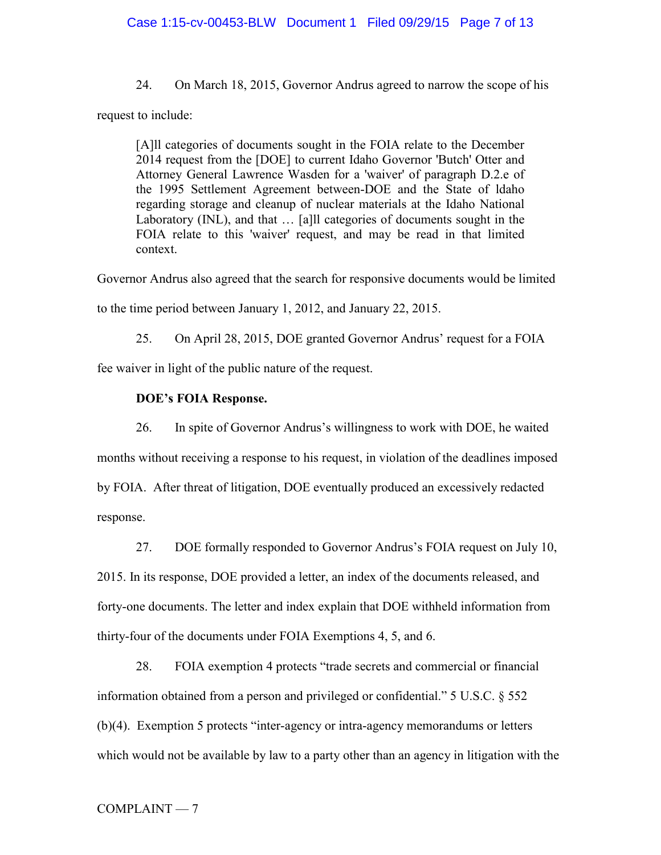## Case 1:15-cv-00453-BLW Document 1 Filed 09/29/15 Page 7 of 13

24. On March 18, 2015, Governor Andrus agreed to narrow the scope of his

request to include:

[A]ll categories of documents sought in the FOIA relate to the December 2014 request from the [DOE] to current Idaho Governor 'Butch' Otter and Attorney General Lawrence Wasden for a 'waiver' of paragraph D.2.e of the 1995 Settlement Agreement between-DOE and the State of ldaho regarding storage and cleanup of nuclear materials at the Idaho National Laboratory (INL), and that … [a]ll categories of documents sought in the FOIA relate to this 'waiver' request, and may be read in that limited context.

Governor Andrus also agreed that the search for responsive documents would be limited

to the time period between January 1, 2012, and January 22, 2015.

25. On April 28, 2015, DOE granted Governor Andrus' request for a FOIA

fee waiver in light of the public nature of the request.

## **DOE's FOIA Response.**

26. In spite of Governor Andrus's willingness to work with DOE, he waited months without receiving a response to his request, in violation of the deadlines imposed by FOIA. After threat of litigation, DOE eventually produced an excessively redacted response.

27. DOE formally responded to Governor Andrus's FOIA request on July 10,

2015. In its response, DOE provided a letter, an index of the documents released, and forty-one documents. The letter and index explain that DOE withheld information from thirty-four of the documents under FOIA Exemptions 4, 5, and 6.

28. FOIA exemption 4 protects "trade secrets and commercial or financial information obtained from a person and privileged or confidential." 5 U.S.C. § 552 (b)(4). Exemption 5 protects "inter-agency or intra-agency memorandums or letters which would not be available by law to a party other than an agency in litigation with the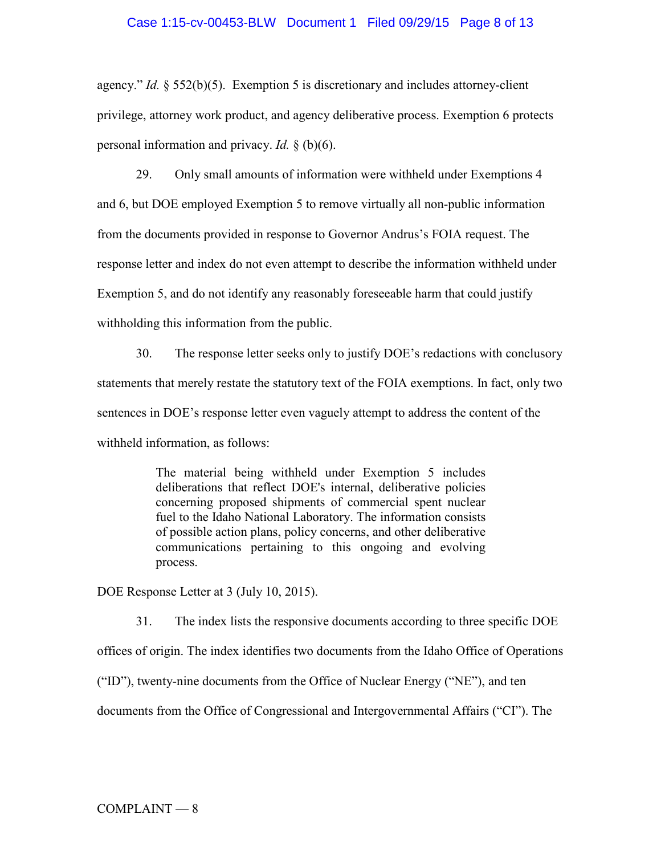## Case 1:15-cv-00453-BLW Document 1 Filed 09/29/15 Page 8 of 13

agency." *Id.*  $\frac{1}{2}$  552(b)(5). Exemption 5 is discretionary and includes attorney-client privilege, attorney work product, and agency deliberative process. Exemption 6 protects personal information and privacy. *Id.* § (b)(6).

29. Only small amounts of information were withheld under Exemptions 4 and 6, but DOE employed Exemption 5 to remove virtually all non-public information from the documents provided in response to Governor Andrus's FOIA request. The response letter and index do not even attempt to describe the information withheld under Exemption 5, and do not identify any reasonably foreseeable harm that could justify withholding this information from the public.

30. The response letter seeks only to justify DOE's redactions with conclusory statements that merely restate the statutory text of the FOIA exemptions. In fact, only two sentences in DOE's response letter even vaguely attempt to address the content of the withheld information, as follows:

> The material being withheld under Exemption 5 includes deliberations that reflect DOE's internal, deliberative policies concerning proposed shipments of commercial spent nuclear fuel to the Idaho National Laboratory. The information consists of possible action plans, policy concerns, and other deliberative communications pertaining to this ongoing and evolving process.

DOE Response Letter at 3 (July 10, 2015).

31. The index lists the responsive documents according to three specific DOE offices of origin. The index identifies two documents from the Idaho Office of Operations ("ID"), twenty-nine documents from the Office of Nuclear Energy ("NE"), and ten documents from the Office of Congressional and Intergovernmental Affairs ("CI"). The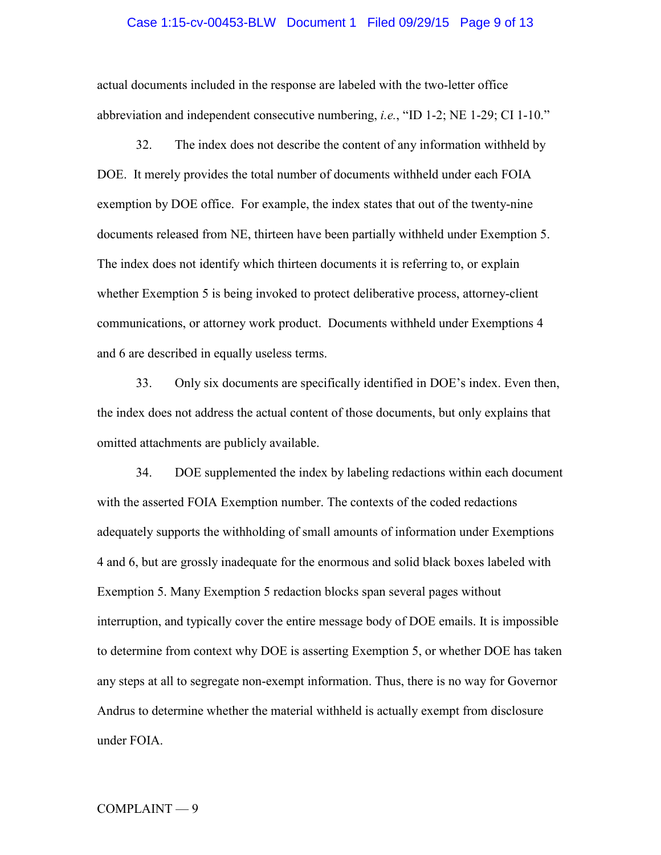## Case 1:15-cv-00453-BLW Document 1 Filed 09/29/15 Page 9 of 13

actual documents included in the response are labeled with the two-letter office abbreviation and independent consecutive numbering, *i.e.*, "ID 1-2; NE 1-29; CI 1-10."

32. The index does not describe the content of any information withheld by DOE. It merely provides the total number of documents withheld under each FOIA exemption by DOE office. For example, the index states that out of the twenty-nine documents released from NE, thirteen have been partially withheld under Exemption 5. The index does not identify which thirteen documents it is referring to, or explain whether Exemption 5 is being invoked to protect deliberative process, attorney-client communications, or attorney work product. Documents withheld under Exemptions 4 and 6 are described in equally useless terms.

33. Only six documents are specifically identified in DOE's index. Even then, the index does not address the actual content of those documents, but only explains that omitted attachments are publicly available.

34. DOE supplemented the index by labeling redactions within each document with the asserted FOIA Exemption number. The contexts of the coded redactions adequately supports the withholding of small amounts of information under Exemptions 4 and 6, but are grossly inadequate for the enormous and solid black boxes labeled with Exemption 5. Many Exemption 5 redaction blocks span several pages without interruption, and typically cover the entire message body of DOE emails. It is impossible to determine from context why DOE is asserting Exemption 5, or whether DOE has taken any steps at all to segregate non-exempt information. Thus, there is no way for Governor Andrus to determine whether the material withheld is actually exempt from disclosure under FOIA.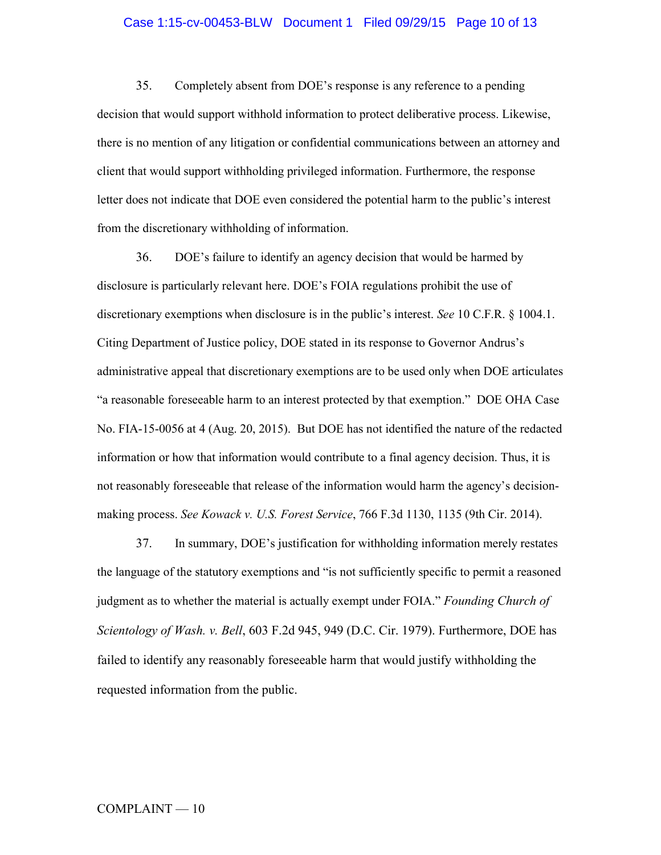#### Case 1:15-cv-00453-BLW Document 1 Filed 09/29/15 Page 10 of 13

35. Completely absent from DOE's response is any reference to a pending decision that would support withhold information to protect deliberative process. Likewise, there is no mention of any litigation or confidential communications between an attorney and client that would support withholding privileged information. Furthermore, the response letter does not indicate that DOE even considered the potential harm to the public's interest from the discretionary withholding of information.

36. DOE's failure to identify an agency decision that would be harmed by disclosure is particularly relevant here. DOE's FOIA regulations prohibit the use of discretionary exemptions when disclosure is in the public's interest. *See* 10 C.F.R. § 1004.1. Citing Department of Justice policy, DOE stated in its response to Governor Andrus's administrative appeal that discretionary exemptions are to be used only when DOE articulates "a reasonable foreseeable harm to an interest protected by that exemption." DOE OHA Case No. FIA-15-0056 at 4 (Aug. 20, 2015). But DOE has not identified the nature of the redacted information or how that information would contribute to a final agency decision. Thus, it is not reasonably foreseeable that release of the information would harm the agency's decisionmaking process. *See Kowack v. U.S. Forest Service*, 766 F.3d 1130, 1135 (9th Cir. 2014).

37. In summary, DOE's justification for withholding information merely restates the language of the statutory exemptions and "is not sufficiently specific to permit a reasoned judgment as to whether the material is actually exempt under FOIA." *Founding Church of Scientology of Wash. v. Bell*, 603 F.2d 945, 949 (D.C. Cir. 1979). Furthermore, DOE has failed to identify any reasonably foreseeable harm that would justify withholding the requested information from the public.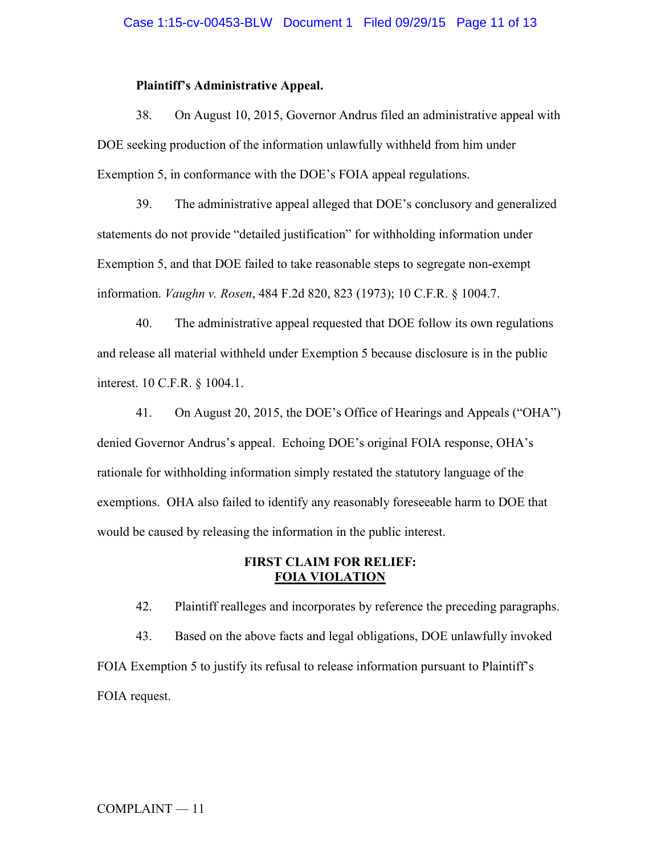### **Plaintiff's Administrative Appeal.**

38. On August 10, 2015, Governor Andrus filed an administrative appeal with DOE seeking production of the information unlawfully withheld from him under Exemption 5, in conformance with the DOE's FOIA appeal regulations.

39. The administrative appeal alleged that DOE's conclusory and generalized statements do not provide "detailed justification" for withholding information under Exemption 5, and that DOE failed to take reasonable steps to segregate non-exempt information. *Vaughn v. Rosen*, 484 F.2d 820, 823 (1973); 10 C.F.R. § 1004.7.

40. The administrative appeal requested that DOE follow its own regulations and release all material withheld under Exemption 5 because disclosure is in the public interest. 10 C.F.R. § 1004.1.

41. On August 20, 2015, the DOE's Office of Hearings and Appeals ("OHA") denied Governor Andrus's appeal. Echoing DOE's original FOIA response, OHA's rationale for withholding information simply restated the statutory language of the exemptions. OHA also failed to identify any reasonably foreseeable harm to DOE that would be caused by releasing the information in the public interest.

## **FIRST CLAIM FOR RELIEF: FOIA VIOLATION**

42. Plaintiff realleges and incorporates by reference the preceding paragraphs.

43. Based on the above facts and legal obligations, DOE unlawfully invoked FOIA Exemption 5 to justify its refusal to release information pursuant to Plaintiff's FOIA request.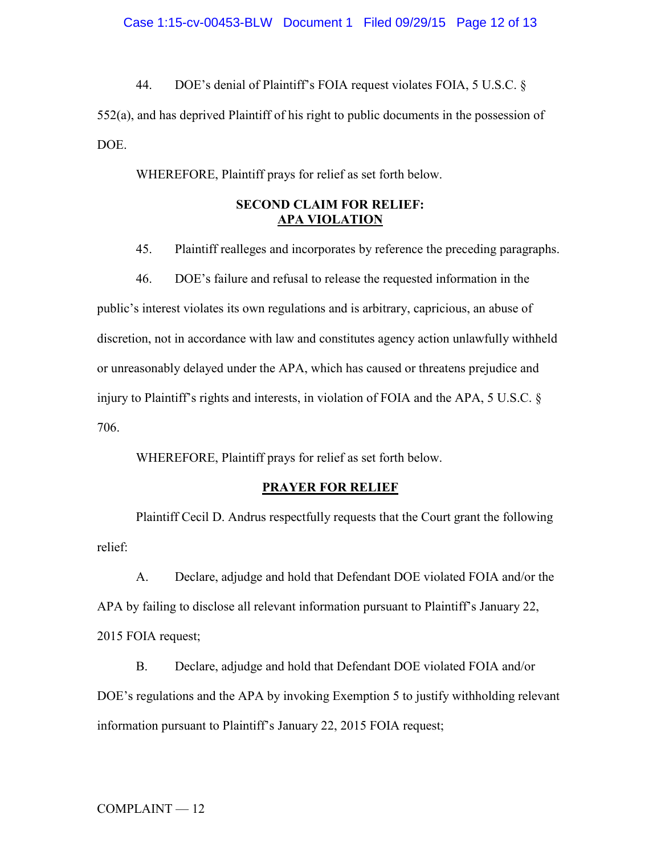44. DOE's denial of Plaintiff's FOIA request violates FOIA, 5 U.S.C. §

552(a), and has deprived Plaintiff of his right to public documents in the possession of DOE.

WHEREFORE, Plaintiff prays for relief as set forth below.

## **SECOND CLAIM FOR RELIEF: APA VIOLATION**

45. Plaintiff realleges and incorporates by reference the preceding paragraphs.

46. DOE's failure and refusal to release the requested information in the public's interest violates its own regulations and is arbitrary, capricious, an abuse of discretion, not in accordance with law and constitutes agency action unlawfully withheld or unreasonably delayed under the APA, which has caused or threatens prejudice and injury to Plaintiff's rights and interests, in violation of FOIA and the APA, 5 U.S.C. § 706.

WHEREFORE, Plaintiff prays for relief as set forth below.

### **PRAYER FOR RELIEF**

Plaintiff Cecil D. Andrus respectfully requests that the Court grant the following relief:

A. Declare, adjudge and hold that Defendant DOE violated FOIA and/or the APA by failing to disclose all relevant information pursuant to Plaintiff's January 22, 2015 FOIA request;

B. Declare, adjudge and hold that Defendant DOE violated FOIA and/or DOE's regulations and the APA by invoking Exemption 5 to justify withholding relevant information pursuant to Plaintiff's January 22, 2015 FOIA request;

COMPLAINT — 12